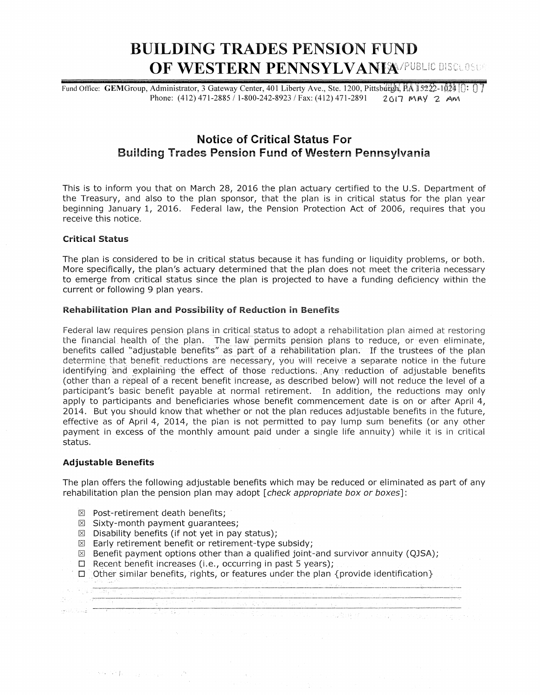# BUILDING TRADES PENSION FUND **OF WESTERN PENNSYLVANIA/PUBLIC DISCLOSUE**

Fund Office: GEM Group, Administrator, 3 Gateway Center, 401 Liberty Ave., Ste. 1200, Pittsburgh, PA 15222-1024 [ $\cap$ ] Phone: (412) 471-2885 / 1-800-242-8923 / Fax: (412) 471-2891 2017 MAY 2 AM.

## Notice of Critical Status For Building Trades Pension Fund of Western Pennsylvania

This is to inform you that on March 28, 2016 the plan actuary certified to the U.S. Department of the Treasury, and also to the plan sponsor, that the plan is in critical status for the plan year beginning January 1, 2016. Federal law, the Pension Protection Act of 2006, requires that you receive this notice.

#### Critical Status

The plan is considered to be in critical status because it has funding or liquidity problems, or both. More specifically, the plan's actuary determined that the plan does not meet the criteria necessary to emerge from critical status since the plan is projected to have a funding deficiency within the current or following 9 plan years.

#### Rehabilitation Plan and Possibility of Reduction in Benefits

Federal law requires pension plans in critical status to adopt a rehabilitation plan aimed at restoring the financial health of the plan. The law permits pension plans to reduce, or even eliminate, benefits called "adjustable benefits" as part of a rehabilitation plan. If the trustees of the plan determine that benefit reductions are necessary, you will receive a separate notice in the future identifying and explaining the effect of those reductions; Any reduction of adjustable benefits (other than a repeal of a recent benefit increase, as described below) will not reduce the level of a participant's basic benefit payable at normal retirement. In addition, the reductions may only apply to participants and beneficiaries whose benefit commencement date is on or after April 4, 2014. But you should know that whether or not the plan reduces adjustable benefits in the future, effective as of April 4, 2014, the plan is not permitted to pay lump sum benefits (or any other payment in excess of the monthly amount paid under a singie iife annuity) while it is in critical status.

#### Adjustable Benefits

The plan offers the following adjustable benefits which may be reduced or eliminated as part of any rehabilitation plan the pension plan may adopt [check appropriate box or boxes]:

 $\boxtimes$  Post-retirement death benefits;

 $\mathcal{O}(\mathcal{M}(\mathcal{C}^{\mathcal{M}}(\mathcal{C}^{\mathcal{M}}(\mathcal{C}^{\mathcal{M}}(\mathcal{C}^{\mathcal{M}}(\mathcal{C}^{\mathcal{M}}(\mathcal{C}^{\mathcal{M}}(\mathcal{C}^{\mathcal{M}}(\mathcal{C}^{\mathcal{M}}(\mathcal{C}^{\mathcal{M}}(\mathcal{C}^{\mathcal{M}})))))))$ 

- $\boxtimes$  Sixty-month payment quarantees;
- $\boxtimes$  Disability benefits (if not yet in pay status);
- $\boxtimes$  Early retirement benefit or retirement-type subsidy;
- $\boxtimes$  Benefit payment options other than a qualified joint-and survivor annuity (QJSA);
- $\square$  Recent benefit increases (i.e., occurring in past 5 years);

 $\square$  Other similar benefits, rights, or features under the plan {provide identification}

----~-·------------;--."---------------·-------------·----------~---------------·-------·---,---------,.---.-.--

a sa mga mga mga mga sangayon ng mga mga mga mga mga mga mga kalamang ng mga mga mga mga mga mga mga mga mga m